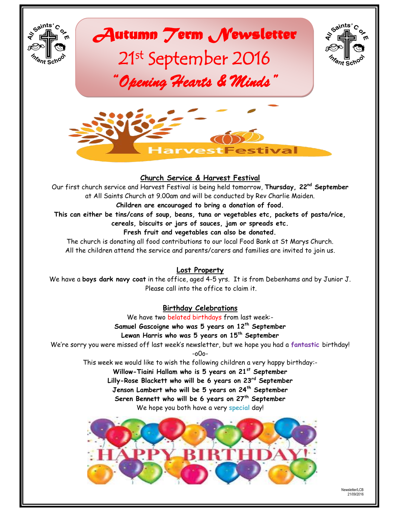

*Autumn Term Newsletter*  21st September 2016

*"Opening Hearts & Minds"* 





#### **Church Service & Harvest Festival**

Our first church service and Harvest Festival is being held tomorrow, **Thursday, 22nd September** at All Saints Church at 9.00am and will be conducted by Rev Charlie Maiden.

#### **Children are encouraged to bring a donation of food.**

**This can either be tins/cans of soup, beans, tuna or vegetables etc, packets of pasta/rice,** 

**cereals, biscuits or jars of sauces, jam or spreads etc.**

**Fresh fruit and vegetables can also be donated.**

The church is donating all food contributions to our local Food Bank at St Marys Church. All the children attend the service and parents/carers and families are invited to join us.

#### **Lost Property**

We have a **boys dark navy coat** in the office, aged 4-5 yrs. It is from Debenhams and by Junior J. Please call into the office to claim it.

## **Birthday Celebrations**

We have two belated birthdays from last week:- **Samuel Gascoigne who was 5 years on 12th September Lewan Harris who was 5 years on 15th September** We're sorry you were missed off last week's newsletter, but we hope you had a **fantastic** birthday! -o0o-

This week we would like to wish the following children a very happy birthday:-

**Willow-Tiaini Hallam who is 5 years on 21st September**

**Lilly-Rose Blackett who will be 6 years on 23rd September**

**Jenson Lambert who will be 5 years on 24th September**

**Seren Bennett who will be 6 years on 27th September**

We hope you both have a very **special** day!



Newsletter/LCB 21/09/2016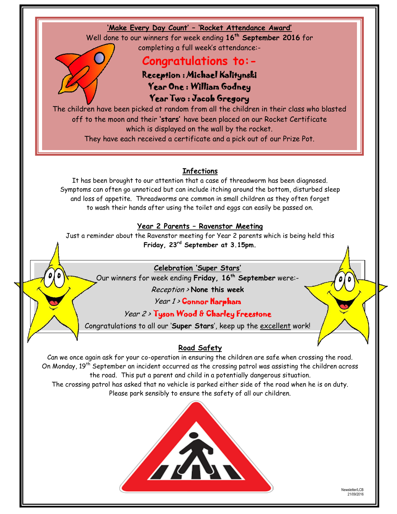

Just a reminder about the Ravenstor meeting for Year 2 parents which is being held this **Friday, 23rd September at 3.15pm.**

## **Celebration 'Super Stars'**

Our winners for week ending **Friday, 16th September** were:-

Reception > **None this week**

Year 1 > Connor Harpham

## Year 2 > Tyson Wood & Charley Freestone

Congratulations to all our '**Super Stars**', keep up the excellent work!

## **Road Safety**

Can we once again ask for your co-operation in ensuring the children are safe when crossing the road. On Monday, 19<sup>th</sup> September an incident occurred as the crossing patrol was assisting the children across the road. This put a parent and child in a potentially dangerous situation.

The crossing patrol has asked that no vehicle is parked either side of the road when he is on duty. Please park sensibly to ensure the safety of all our children.